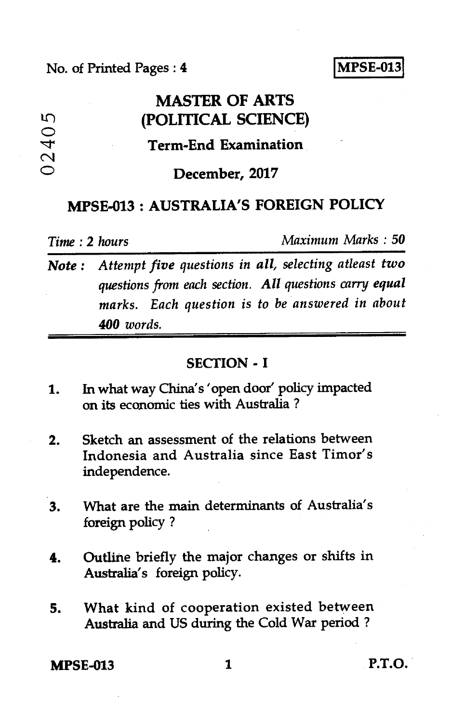### No. of Printed Pages : *4* **I MPSE-013**

# **MASTER OF ARTS (POLITICAL SCIENCE)**

## **Term-End Examination**

#### **December, 2017**

# **MPSE-013 : AUSTRALIA'S FOREIGN POLICY**

0240<sup>t</sup>

ഗ

*Time : 2 hours Maximum Marks : 50* 

*Note : Attempt five questions in all, selecting atleast two questions from each section. All questions carry equal marks. Each question is to be answered in about 400 words.* 

#### **SECTION - I**

- 1. In what way China's 'open door' policy impacted on its economic ties with Australia ?
- 2. Sketch an assessment of the relations between Indonesia and Australia since East Timor's independence.
- 3. What are the main determinants of Australia's foreign policy ?
- 4. Outline briefly the major changes or shifts in Australia's foreign policy.
- **5. What** kind of cooperation existed between Australia and US during the Cold War period ?

**MPSE-013 1 P.T.O.**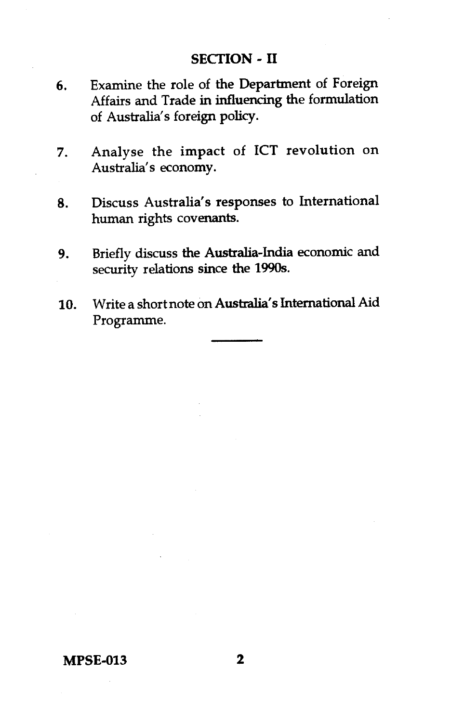#### **SECTION - II**

- 6. Examine the role of the Department of Foreign Affairs and Trade in influencing the formulation of Australia's foreign policy.
- 7. Analyse the impact of ICT revolution on Australia's economy.
- 8. Discuss Australia's responses to International human rights covenants.
- 9. Briefly discuss the Australia-India economic and security relations since the 1990s.
- 10. Write a short note on Australia's International Aid Programme.

#### **MPSE-013 2**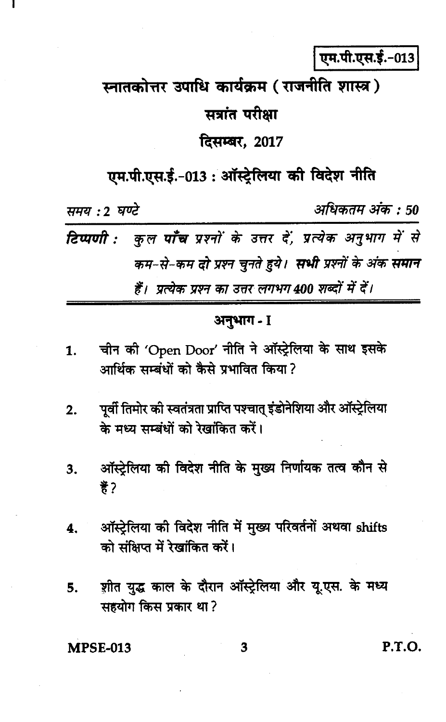# एम.पी.एस.ई.-013

# स्नातकोत्तर उपाधि कार्यक्रम (राजनीति शास्त्र)

# सत्रांत परीक्षा

# दिसम्बर, 2017

# एम.पी.एस.ई.-013: ऑस्ट्रेलिया की विदेश नीति

समय : 2 घण्टे अधिकतम अंक : 50 कल **पाँच** प्रश्नों के उत्तर दें, प्रत्येक अनुभाग में से टिप्पणी : कम-से-कम दो प्रश्न चुनते हुये। सभी प्रश्नों के अंक समान हैं। प्रत्येक प्रश्न का उत्तर लगभग 400 शब्दों में दें।

# अनुभाग - I

- चीन की 'Open Door' नीति ने ऑस्ट्रेलिया के साथ इसके  $\mathbf{1}$ . आर्थिक सम्बंधों को कैसे पभावित किया ?
- पूर्वी तिमोर की स्वतंत्रता प्राप्ति पश्चात् इंडोनेशिया और ऑस्ट्रेलिया  $2.$ के मध्य सम्बंधों को रेखांकित करें।
- ऑस्ट्रेलिया की विदेश नीति के मुख्य निर्णायक तत्व कौन से 3. 菁?
- ऑस्ट्रेलिया की विदेश नीति में मुख्य परिवर्तनों अथवा shifts 4. को संक्षिप्त में रेखांकित करें।
- शीत युद्ध काल के दौरान ऑस्ट्रेलिया और यू.एस. के मध्य 5. सहयोग किस प्रकार था?

**MPSE-013** 

3

P.T.O.